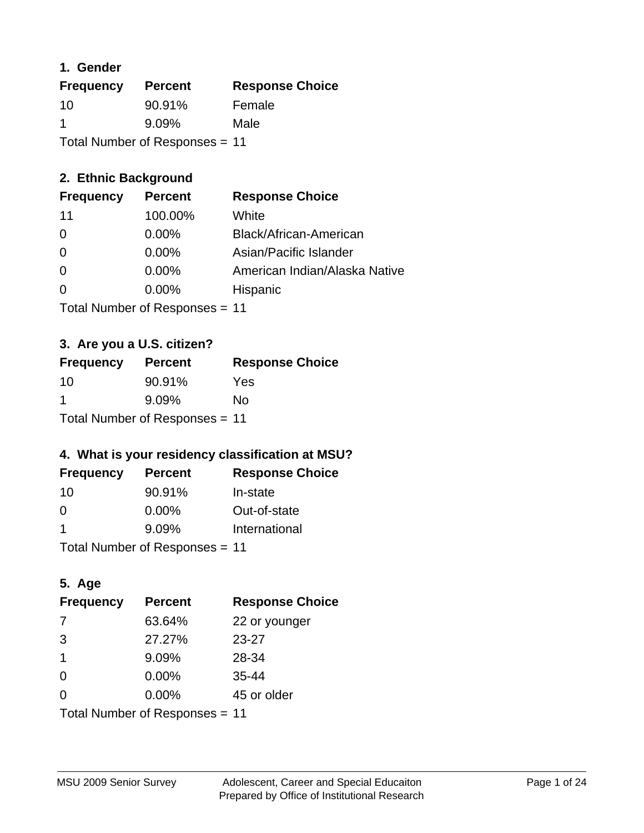### **1. Gender**

| <b>Frequency</b>               | <b>Percent</b> | <b>Response Choice</b> |
|--------------------------------|----------------|------------------------|
| 10                             | 90.91%         | Female                 |
| -1                             | $9.09\%$       | Male                   |
| Total Number of Responses = 11 |                |                        |

## **2. Ethnic Background**

| <b>Frequency</b> | <b>Percent</b> | <b>Response Choice</b>        |
|------------------|----------------|-------------------------------|
| 11               | 100.00%        | White                         |
| 0                | $0.00\%$       | Black/African-American        |
| $\Omega$         | $0.00\%$       | Asian/Pacific Islander        |
| $\Omega$         | $0.00\%$       | American Indian/Alaska Native |
|                  | $0.00\%$       | Hispanic                      |
|                  |                |                               |

Total Number of Responses = 11

## **3. Are you a U.S. citizen?**

| <b>Frequency</b>               | <b>Percent</b> | <b>Response Choice</b> |
|--------------------------------|----------------|------------------------|
| 10                             | 90.91%         | Yes                    |
| -1                             | $9.09\%$       | No                     |
| Total Number of Responses = 11 |                |                        |

## **4. What is your residency classification at MSU?**

| <b>Frequency</b> | <b>Percent</b> | <b>Response Choice</b> |
|------------------|----------------|------------------------|
| -10              | 90.91%         | In-state               |
| $\Omega$         | $0.00\%$       | Out-of-state           |
|                  | 9.09%          | International          |
| — <u>.</u>       |                |                        |

Total Number of Responses = 11

## **5. Age**

| <b>Frequency</b>               | <b>Percent</b> | <b>Response Choice</b> |
|--------------------------------|----------------|------------------------|
| 7                              | 63.64%         | 22 or younger          |
| 3                              | 27.27%         | $23 - 27$              |
| 1                              | 9.09%          | 28-34                  |
| $\Omega$                       | 0.00%          | $35 - 44$              |
| $\Omega$                       | 0.00%          | 45 or older            |
| Total Number of Responses = 11 |                |                        |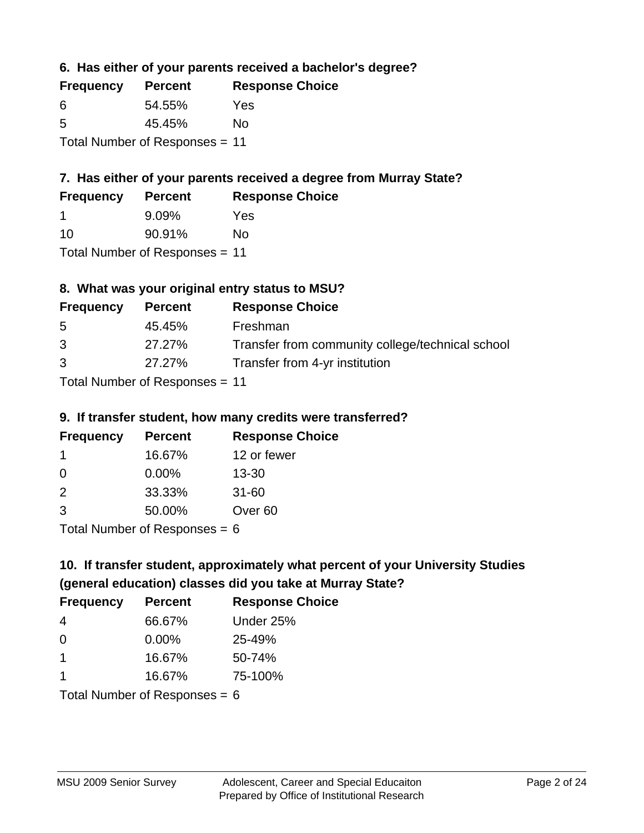**6. Has either of your parents received a bachelor's degree?**

| <b>Frequency</b>               | <b>Percent</b> | <b>Response Choice</b> |
|--------------------------------|----------------|------------------------|
| 6                              | 54.55%         | Yes                    |
| .5                             | 45.45%         | Nο                     |
| Total Number of Responses = 11 |                |                        |

# **7. Has either of your parents received a degree from Murray State?**

| <b>Frequency</b> | <b>Percent</b> | <b>Response Choice</b> |
|------------------|----------------|------------------------|
|                  | 9.09%          | Yes                    |
| 10               | 90.91%         | Nο                     |

Total Number of Responses = 11

## **8. What was your original entry status to MSU?**

| <b>Frequency</b> | <b>Percent</b>            | <b>Response Choice</b>                           |
|------------------|---------------------------|--------------------------------------------------|
| 5                | 45.45%                    | Freshman                                         |
| 3                | 27.27%                    | Transfer from community college/technical school |
| 3                | 27.27%                    | Transfer from 4-yr institution                   |
|                  | Total Number of Desponses |                                                  |

Total Number of Responses = 11

### **9. If transfer student, how many credits were transferred?**

| <b>Frequency</b>           | <b>Percent</b> | <b>Response Choice</b> |
|----------------------------|----------------|------------------------|
|                            | 16.67%         | 12 or fewer            |
| -0                         | $0.00\%$       | $13 - 30$              |
| $\mathcal{P}$              | 33.33%         | $31 - 60$              |
| -3                         | 50.00%         | Over <sub>60</sub>     |
| Total Number of Deepersoon |                |                        |

I otal Number of Responses  $= 6$ 

# **10. If transfer student, approximately what percent of your University Studies (general education) classes did you take at Murray State?**

| <b>Frequency</b>                | <b>Percent</b> | <b>Response Choice</b> |
|---------------------------------|----------------|------------------------|
| 4                               | 66.67%         | Under 25%              |
| $\Omega$                        | $0.00\%$       | 25-49%                 |
| $\overline{1}$                  | 16.67%         | 50-74%                 |
| 1                               | 16.67%         | 75-100%                |
| Total Number of Responses = $6$ |                |                        |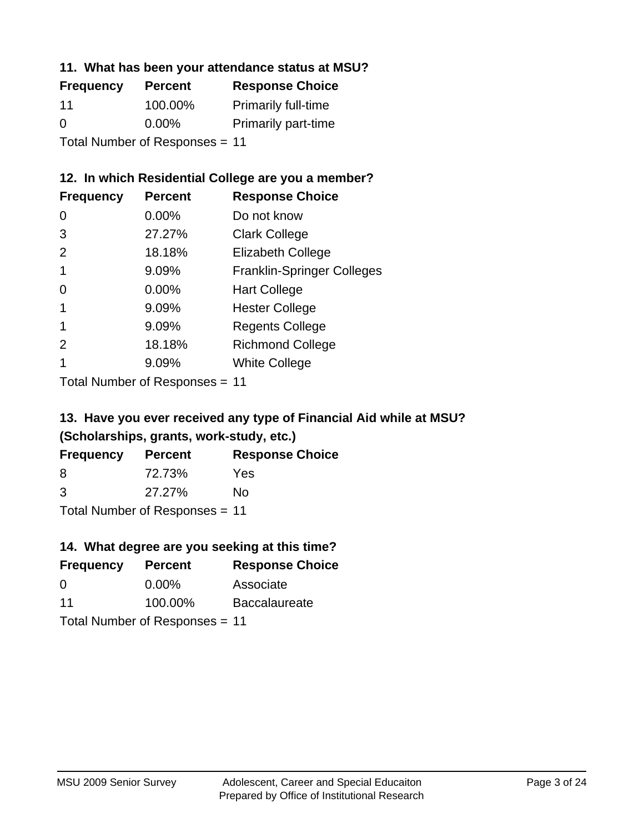### **11. What has been your attendance status at MSU?**

| <b>Frequency</b>               | <b>Percent</b> | <b>Response Choice</b>     |
|--------------------------------|----------------|----------------------------|
| 11                             | 100.00%        | <b>Primarily full-time</b> |
| $\Omega$                       | $0.00\%$       | <b>Primarily part-time</b> |
| Total Number of Responses = 11 |                |                            |

## **12. In which Residential College are you a member?**

| <b>Frequency</b> | <b>Percent</b> | <b>Response Choice</b>            |
|------------------|----------------|-----------------------------------|
| 0                | $0.00\%$       | Do not know                       |
| 3                | 27.27%         | <b>Clark College</b>              |
| 2                | 18.18%         | <b>Elizabeth College</b>          |
|                  | 9.09%          | <b>Franklin-Springer Colleges</b> |
| 0                | $0.00\%$       | <b>Hart College</b>               |
| 1                | 9.09%          | <b>Hester College</b>             |
|                  | 9.09%          | <b>Regents College</b>            |
| $\mathcal{P}$    | 18.18%         | <b>Richmond College</b>           |
|                  | 9.09%          | <b>White College</b>              |
|                  |                |                                   |

Total Number of Responses = 11

## **13. Have you ever received any type of Financial Aid while at MSU? (Scholarships, grants, work-study, etc.)**

| <b>Frequency</b> | <b>Percent</b>               | <b>Response Choice</b> |
|------------------|------------------------------|------------------------|
| 8                | 72.73%                       | Yes                    |
| 3                | 27.27%                       | Nο                     |
|                  | Tatal Mussolian of Dagmanage |                        |

Total Number of Responses = 11

## **14. What degree are you seeking at this time?**

| <b>Frequency</b> | <b>Percent</b>                 | <b>Response Choice</b> |
|------------------|--------------------------------|------------------------|
| 0                | $0.00\%$                       | Associate              |
| 11               | 100.00%                        | <b>Baccalaureate</b>   |
|                  | Total Number of Responses = 11 |                        |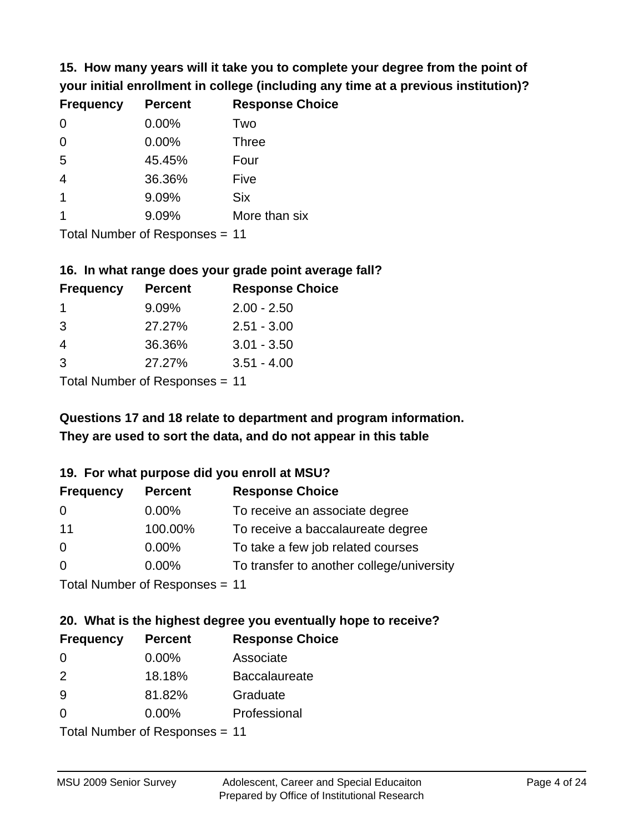**15. How many years will it take you to complete your degree from the point of your initial enrollment in college (including any time at a previous institution)?**

| <b>Frequency</b> | <b>Percent</b> | <b>Response Choice</b> |
|------------------|----------------|------------------------|
| $\Omega$         | 0.00%          | Two                    |
| 0                | 0.00%          | <b>Three</b>           |
| 5                | 45.45%         | Four                   |
| $\overline{4}$   | 36.36%         | Five                   |
| $\overline{1}$   | 9.09%          | <b>Six</b>             |
|                  | 9.09%          | More than six          |
|                  |                |                        |

Total Number of Responses = 11

#### **16. In what range does your grade point average fall?**

| <b>Frequency</b> | <b>Percent</b> | <b>Response Choice</b> |
|------------------|----------------|------------------------|
|                  | 9.09%          | $2.00 - 2.50$          |
| -3               | 27.27%         | $2.51 - 3.00$          |
| 4                | 36.36%         | $3.01 - 3.50$          |
| 3                | 27.27%         | $3.51 - 4.00$          |
|                  |                |                        |

Total Number of Responses = 11

# **They are used to sort the data, and do not appear in this table Questions 17 and 18 relate to department and program information.**

#### **19. For what purpose did you enroll at MSU?**

| <b>Frequency</b> | <b>Percent</b>                 | <b>Response Choice</b>                    |
|------------------|--------------------------------|-------------------------------------------|
| 0                | $0.00\%$                       | To receive an associate degree            |
| 11               | 100.00%                        | To receive a baccalaureate degree         |
| $\overline{0}$   | $0.00\%$                       | To take a few job related courses         |
| $\Omega$         | 0.00%                          | To transfer to another college/university |
|                  | Total Number of Responses = 11 |                                           |

# **20. What is the highest degree you eventually hope to receive?**

| <b>Frequency</b> | <b>Percent</b>             | <b>Response Choice</b> |
|------------------|----------------------------|------------------------|
| 0                | 0.00%                      | Associate              |
| 2                | 18.18%                     | <b>Baccalaureate</b>   |
| 9                | 81.82%                     | Graduate               |
| 0                | $0.00\%$                   | Professional           |
|                  | Tatal Number of Desperance |                        |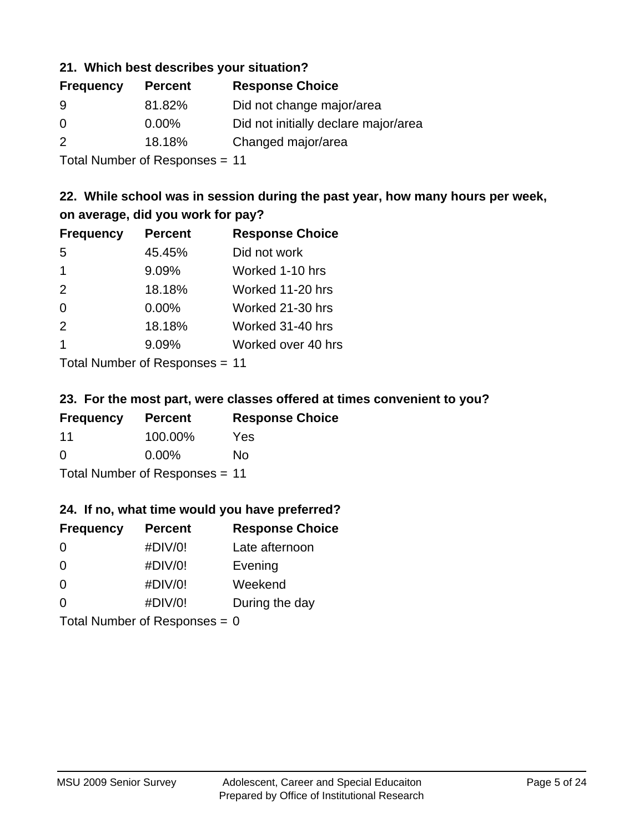### **21. Which best describes your situation?**

| <b>Frequency</b> | <b>Percent</b> | <b>Response Choice</b>               |
|------------------|----------------|--------------------------------------|
| 9                | 81.82%         | Did not change major/area            |
| 0                | $0.00\%$       | Did not initially declare major/area |
| $\mathcal{P}$    | 18.18%         | Changed major/area                   |
|                  |                |                                      |

Total Number of Responses = 11

## **22. While school was in session during the past year, how many hours per week, on average, did you work for pay?**

| <b>Frequency</b> | <b>Percent</b> | <b>Response Choice</b> |
|------------------|----------------|------------------------|
| 5                | 45.45%         | Did not work           |
| $\overline{1}$   | 9.09%          | Worked 1-10 hrs        |
| 2                | 18.18%         | Worked 11-20 hrs       |
| $\Omega$         | 0.00%          | Worked 21-30 hrs       |
| 2                | 18.18%         | Worked 31-40 hrs       |
| $\overline{1}$   | 9.09%          | Worked over 40 hrs     |
|                  |                |                        |

Total Number of Responses = 11

#### **23. For the most part, were classes offered at times convenient to you?**

| <b>Frequency</b>               | <b>Percent</b> | <b>Response Choice</b> |
|--------------------------------|----------------|------------------------|
| 11                             | 100.00%        | Yes                    |
| $\Omega$                       | $0.00\%$       | Nο                     |
| Total Number of Responses = 11 |                |                        |

### **24. If no, what time would you have preferred?**

| <b>Frequency</b> | <b>Percent</b>                  | <b>Response Choice</b> |
|------------------|---------------------------------|------------------------|
| $\Omega$         | #DIV/0!                         | Late afternoon         |
| 0                | #DIV/0!                         | Evening                |
| 0                | #DIV/0!                         | Weekend                |
| $\Omega$         | #DIV/0!                         | During the day         |
|                  | Total Number of Responses = $0$ |                        |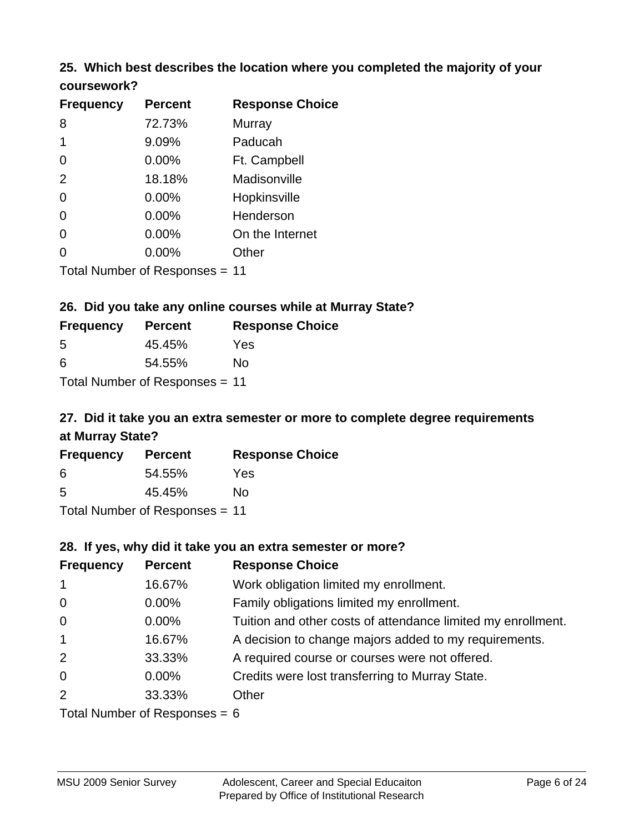## **25. Which best describes the location where you completed the majority of your coursework?**

| <b>Frequency</b> | <b>Percent</b>                 | <b>Response Choice</b> |
|------------------|--------------------------------|------------------------|
| 8                | 72.73%                         | Murray                 |
| 1                | 9.09%                          | Paducah                |
| 0                | 0.00%                          | Ft. Campbell           |
| 2                | 18.18%                         | Madisonville           |
| 0                | 0.00%                          | Hopkinsville           |
| 0                | 0.00%                          | Henderson              |
| 0                | 0.00%                          | On the Internet        |
| 0                | 0.00%                          | Other                  |
|                  | Total Number of Responses = 11 |                        |

#### **26. Did you take any online courses while at Murray State?**

| <b>Frequency</b> | <b>Percent</b>                 | <b>Response Choice</b> |
|------------------|--------------------------------|------------------------|
| -5               | 45.45%                         | Yes                    |
| -6               | 54.55%                         | Nο                     |
|                  | Total Number of Responses = 11 |                        |

## **27. Did it take you an extra semester or more to complete degree requirements at Murray State?**

| <b>Frequency</b> | <b>Percent</b>               | <b>Response Choice</b> |
|------------------|------------------------------|------------------------|
| 6                | 54.55%                       | Yes                    |
| .5               | 45.45%                       | No                     |
|                  | Total Number of Desponses 44 |                        |

Total Number of Responses = 11

#### **28. If yes, why did it take you an extra semester or more?**

| <b>Frequency</b> | <b>Percent</b>                | <b>Response Choice</b>                                       |
|------------------|-------------------------------|--------------------------------------------------------------|
| $\mathbf{1}$     | 16.67%                        | Work obligation limited my enrollment.                       |
| $\overline{0}$   | $0.00\%$                      | Family obligations limited my enrollment.                    |
| $\overline{0}$   | $0.00\%$                      | Tuition and other costs of attendance limited my enrollment. |
| $\mathbf{1}$     | 16.67%                        | A decision to change majors added to my requirements.        |
| 2                | 33.33%                        | A required course or courses were not offered.               |
| $\overline{0}$   | $0.00\%$                      | Credits were lost transferring to Murray State.              |
| 2                | 33.33%                        | Other                                                        |
|                  | $Total Number of Denonce - Q$ |                                                              |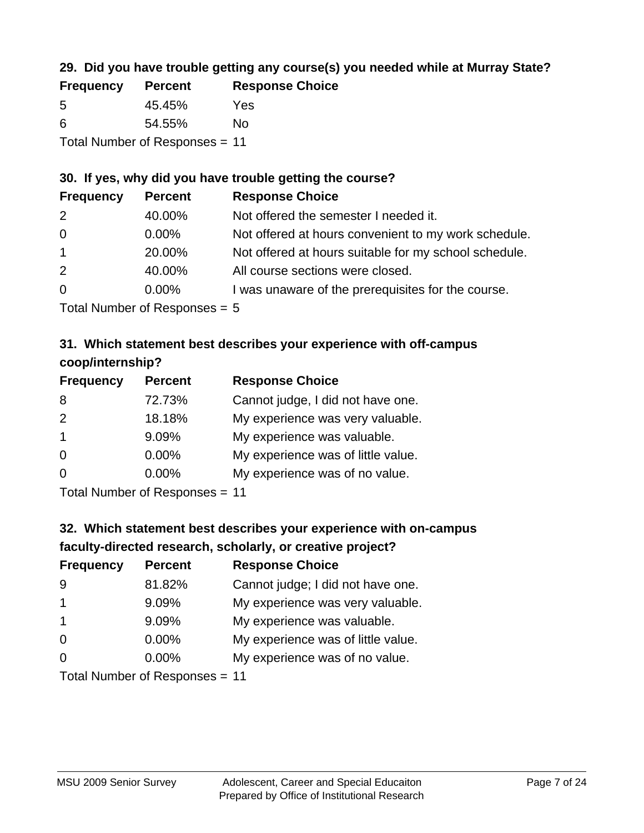## **29. Did you have trouble getting any course(s) you needed while at Murray State?**

| <b>Frequency</b>               | <b>Percent</b> | <b>Response Choice</b> |
|--------------------------------|----------------|------------------------|
| -5                             | 45.45%         | Yes                    |
| -6                             | 54.55%         | Nο                     |
| Total Number of Responses = 11 |                |                        |

#### **30. If yes, why did you have trouble getting the course?**

| <b>Frequency</b> | <b>Percent</b> | <b>Response Choice</b>                                |
|------------------|----------------|-------------------------------------------------------|
| 2                | 40.00%         | Not offered the semester I needed it.                 |
| $\overline{0}$   | $0.00\%$       | Not offered at hours convenient to my work schedule.  |
| $\overline{1}$   | 20.00%         | Not offered at hours suitable for my school schedule. |
| 2                | 40.00%         | All course sections were closed.                      |
| $\overline{0}$   | $0.00\%$       | I was unaware of the prerequisites for the course.    |
|                  |                |                                                       |

Total Number of Responses = 5

## **31. Which statement best describes your experience with off-campus coop/internship?**

| <b>Frequency</b> | <b>Percent</b> | <b>Response Choice</b>             |
|------------------|----------------|------------------------------------|
| 8                | 72.73%         | Cannot judge, I did not have one.  |
| 2                | 18.18%         | My experience was very valuable.   |
| $\overline{1}$   | 9.09%          | My experience was valuable.        |
| $\Omega$         | $0.00\%$       | My experience was of little value. |
| $\Omega$         | 0.00%          | My experience was of no value.     |
|                  |                |                                    |

Total Number of Responses = 11

# **32. Which statement best describes your experience with on-campus faculty-directed research, scholarly, or creative project?**

| <b>Frequency</b> | <b>Percent</b>             | <b>Response Choice</b>             |
|------------------|----------------------------|------------------------------------|
| 9                | 81.82%                     | Cannot judge; I did not have one.  |
| $\mathbf 1$      | 9.09%                      | My experience was very valuable.   |
| $\mathbf{1}$     | 9.09%                      | My experience was valuable.        |
| $\overline{0}$   | 0.00%                      | My experience was of little value. |
| $\Omega$         | 0.00%                      | My experience was of no value.     |
|                  | Tatal Number of Desperance |                                    |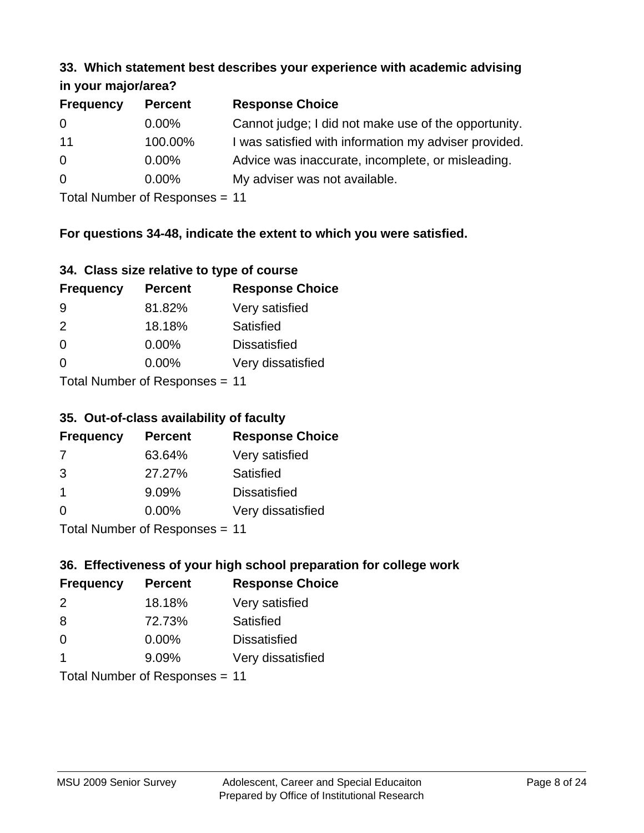#### **33. Which statement best describes your experience with academic advising in your major/area?**

| $\cdots$ your mapproved. |                |                                                       |
|--------------------------|----------------|-------------------------------------------------------|
| <b>Frequency</b>         | <b>Percent</b> | <b>Response Choice</b>                                |
| 0                        | $0.00\%$       | Cannot judge; I did not make use of the opportunity.  |
| 11                       | 100.00%        | I was satisfied with information my adviser provided. |
| $\overline{0}$           | 0.00%          | Advice was inaccurate, incomplete, or misleading.     |
| 0                        | $0.00\%$       | My adviser was not available.                         |
|                          |                |                                                       |

Total Number of Responses = 11

## **For questions 34-48, indicate the extent to which you were satisfied.**

| 34. Class size relative to type of course |
|-------------------------------------------|
|-------------------------------------------|

| <b>Frequency</b>               | <b>Percent</b> | <b>Response Choice</b> |  |
|--------------------------------|----------------|------------------------|--|
| -9                             | 81.82%         | Very satisfied         |  |
| $\mathcal{P}$                  | 18.18%         | Satisfied              |  |
| $\Omega$                       | $0.00\%$       | <b>Dissatisfied</b>    |  |
| $\Omega$                       | $0.00\%$       | Very dissatisfied      |  |
| Total Number of Responses - 11 |                |                        |  |

Total Number of Responses = 11

#### **35. Out-of-class availability of faculty**

| <b>Frequency</b>           | <b>Percent</b> | <b>Response Choice</b> |
|----------------------------|----------------|------------------------|
| 7                          | 63.64%         | Very satisfied         |
| 3                          | 27.27%         | Satisfied              |
| $\mathbf 1$                | 9.09%          | <b>Dissatisfied</b>    |
| $\Omega$                   | $0.00\%$       | Very dissatisfied      |
| Tatal Number of Desperance |                |                        |

Total Number of Responses = 11

## **36. Effectiveness of your high school preparation for college work**

| <b>Frequency</b> | <b>Percent</b>                 | <b>Response Choice</b> |
|------------------|--------------------------------|------------------------|
| $\mathcal{P}$    | 18.18%                         | Very satisfied         |
| 8                | 72.73%                         | Satisfied              |
| $\Omega$         | 0.00%                          | <b>Dissatisfied</b>    |
| -1               | 9.09%                          | Very dissatisfied      |
|                  | Total Number of Poenonces - 11 |                        |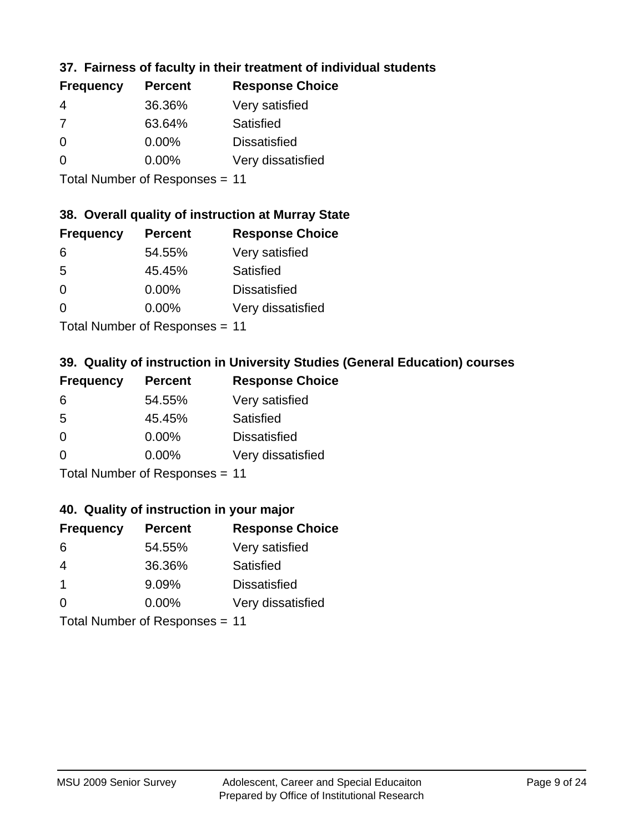## **37. Fairness of faculty in their treatment of individual students**

| <b>Frequency</b> | <b>Percent</b> | <b>Response Choice</b> |
|------------------|----------------|------------------------|
| 4                | 36.36%         | Very satisfied         |
| -7               | 63.64%         | Satisfied              |
| $\Omega$         | $0.00\%$       | <b>Dissatisfied</b>    |
| $\Omega$         | 0.00%          | Very dissatisfied      |
|                  |                |                        |

Total Number of Responses = 11

## **38. Overall quality of instruction at Murray State**

| <b>Frequency</b> | <b>Percent</b> | <b>Response Choice</b> |
|------------------|----------------|------------------------|
| 6                | 54.55%         | Very satisfied         |
| 5                | 45.45%         | Satisfied              |
| $\Omega$         | $0.00\%$       | <b>Dissatisfied</b>    |
| $\Omega$         | 0.00%          | Very dissatisfied      |
|                  |                |                        |

Total Number of Responses = 11

## **39. Quality of instruction in University Studies (General Education) courses**

| <b>Frequency</b> | <b>Percent</b>             | <b>Response Choice</b> |
|------------------|----------------------------|------------------------|
| 6                | 54.55%                     | Very satisfied         |
| 5                | 45.45%                     | Satisfied              |
| $\Omega$         | $0.00\%$                   | <b>Dissatisfied</b>    |
| $\Omega$         | 0.00%                      | Very dissatisfied      |
|                  | Tatal Manakan af Dagmanage |                        |

Total Number of Responses = 11

#### **40. Quality of instruction in your major**

| <b>Frequency</b> | <b>Percent</b>                                                     | <b>Response Choice</b> |
|------------------|--------------------------------------------------------------------|------------------------|
| 6                | 54.55%                                                             | Very satisfied         |
| 4                | 36.36%                                                             | Satisfied              |
| $\mathbf 1$      | 9.09%                                                              | <b>Dissatisfied</b>    |
| $\Omega$         | 0.00%                                                              | Very dissatisfied      |
|                  | $T$ at all Masseds and $R$ $\sim$ and $\sim$ and $\sim$ and $\sim$ |                        |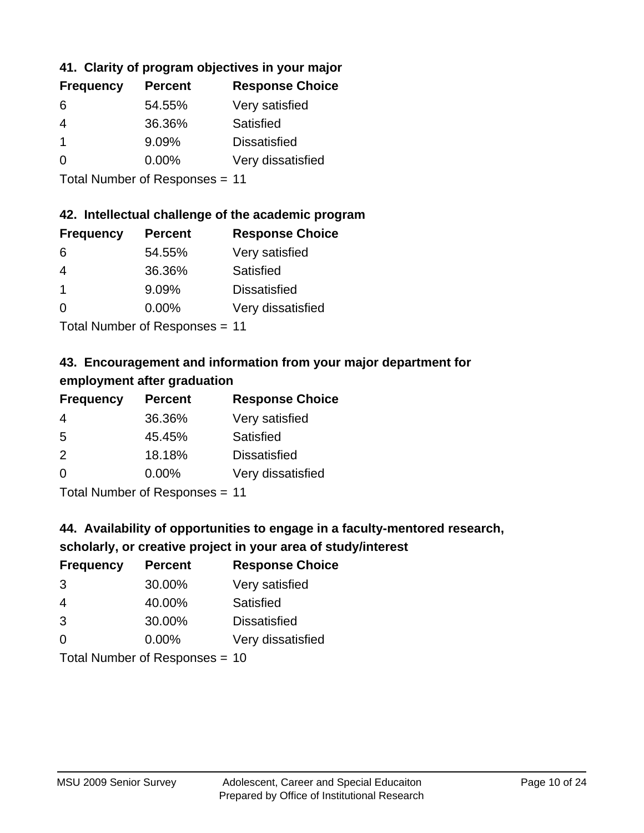## **41. Clarity of program objectives in your major**

| <b>Frequency</b> | <b>Percent</b> | <b>Response Choice</b> |
|------------------|----------------|------------------------|
| 6                | 54.55%         | Very satisfied         |
| 4                | 36.36%         | Satisfied              |
|                  | 9.09%          | <b>Dissatisfied</b>    |
| ∩                | $0.00\%$       | Very dissatisfied      |
|                  |                |                        |

Total Number of Responses = 11

### **42. Intellectual challenge of the academic program**

| <b>Frequency</b> | <b>Percent</b> | <b>Response Choice</b> |
|------------------|----------------|------------------------|
| 6                | 54.55%         | Very satisfied         |
| 4                | 36.36%         | Satisfied              |
|                  | 9.09%          | <b>Dissatisfied</b>    |
| $\Omega$         | 0.00%          | Very dissatisfied      |
|                  |                |                        |

Total Number of Responses = 11

## **43. Encouragement and information from your major department for employment after graduation**

| <b>Frequency</b> | <b>Percent</b> | <b>Response Choice</b> |
|------------------|----------------|------------------------|
| 4                | 36.36%         | Very satisfied         |
| 5                | 45.45%         | Satisfied              |
| 2                | 18.18%         | <b>Dissatisfied</b>    |
| 0                | $0.00\%$       | Very dissatisfied      |
|                  |                |                        |

Total Number of Responses = 11

# **44. Availability of opportunities to engage in a faculty-mentored research,**

## **scholarly, or creative project in your area of study/interest**

| <b>Frequency</b> | <b>Percent</b>                                                                                                  | <b>Response Choice</b> |
|------------------|-----------------------------------------------------------------------------------------------------------------|------------------------|
| 3                | 30.00%                                                                                                          | Very satisfied         |
| 4                | 40.00%                                                                                                          | Satisfied              |
| 3                | 30.00%                                                                                                          | <b>Dissatisfied</b>    |
| $\Omega$         | 0.00%                                                                                                           | Very dissatisfied      |
|                  | The Little and the Little Communication of the Communication of the Communication of the Communication of the U |                        |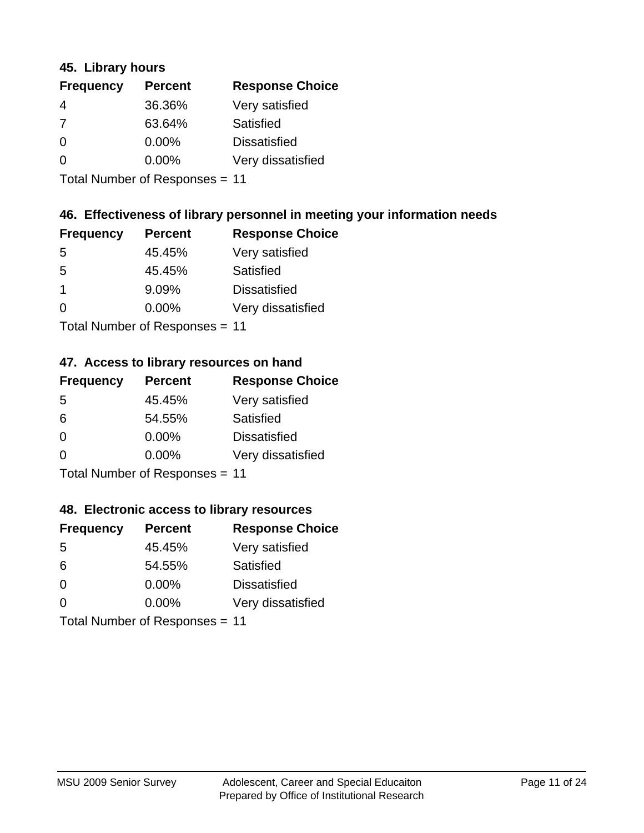### **45. Library hours**

| <b>Frequency</b> | <b>Percent</b> | <b>Response Choice</b> |
|------------------|----------------|------------------------|
| 4                | 36.36%         | Very satisfied         |
| 7                | 63.64%         | Satisfied              |
| $\Omega$         | $0.00\%$       | <b>Dissatisfied</b>    |
| $\Omega$         | $0.00\%$       | Very dissatisfied      |
|                  |                |                        |

Total Number of Responses = 11

### **46. Effectiveness of library personnel in meeting your information needs**

| <b>Frequency</b> | <b>Percent</b> | <b>Response Choice</b> |
|------------------|----------------|------------------------|
| .5               | 45.45%         | Very satisfied         |
| .5               | 45.45%         | Satisfied              |
|                  | 9.09%          | <b>Dissatisfied</b>    |
| $\Omega$         | 0.00%          | Very dissatisfied      |
|                  |                |                        |

Total Number of Responses = 11

#### **47. Access to library resources on hand**

| <b>Frequency</b> | <b>Percent</b>            | <b>Response Choice</b> |
|------------------|---------------------------|------------------------|
| 5                | 45.45%                    | Very satisfied         |
| 6                | 54.55%                    | Satisfied              |
| $\Omega$         | $0.00\%$                  | <b>Dissatisfied</b>    |
| $\Omega$         | 0.00%                     | Very dissatisfied      |
|                  | Total Number of Deepersee |                        |

Total Number of Responses = 11

#### **48. Electronic access to library resources**

| <b>Frequency</b> | <b>Percent</b>                 | <b>Response Choice</b> |
|------------------|--------------------------------|------------------------|
| 5                | 45.45%                         | Very satisfied         |
| 6                | 54.55%                         | Satisfied              |
| $\Omega$         | $0.00\%$                       | <b>Dissatisfied</b>    |
| $\Omega$         | $0.00\%$                       | Very dissatisfied      |
|                  | Total Number of Responses = 11 |                        |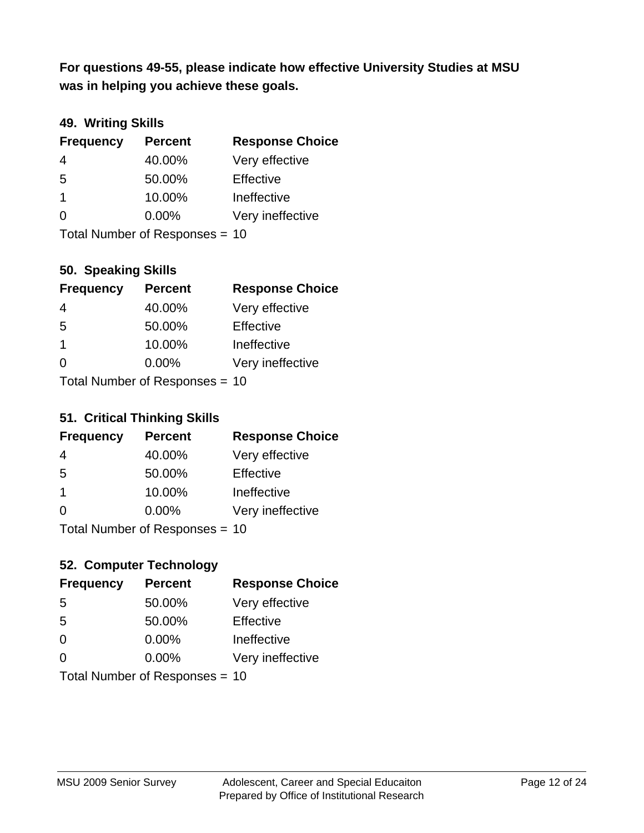**was in helping you achieve these goals. For questions 49-55, please indicate how effective University Studies at MSU** 

## **49. Writing Skills**

| <b>Frequency</b> | <b>Percent</b>                 | <b>Response Choice</b> |
|------------------|--------------------------------|------------------------|
| $\overline{4}$   | 40.00%                         | Very effective         |
| 5                | 50.00%                         | Effective              |
| $\overline{1}$   | 10.00%                         | Ineffective            |
| $\Omega$         | $0.00\%$                       | Very ineffective       |
|                  | Total Number of Responses = 10 |                        |

**50. Speaking Skills**

| <b>Frequency</b>               | <b>Percent</b> | <b>Response Choice</b> |
|--------------------------------|----------------|------------------------|
| 4                              | 40.00%         | Very effective         |
| 5                              | 50.00%         | Effective              |
| $\overline{1}$                 | 10.00%         | Ineffective            |
| $\Omega$                       | 0.00%          | Very ineffective       |
| Total Number of Poenonces - 10 |                |                        |

Total Number of Responses = 10

#### **51. Critical Thinking Skills**

| <b>Frequency</b> | <b>Percent</b>                  | <b>Response Choice</b> |
|------------------|---------------------------------|------------------------|
| 4                | 40.00%                          | Very effective         |
| 5                | 50.00%                          | Effective              |
| $\mathbf 1$      | 10.00%                          | Ineffective            |
| $\Omega$         | 0.00%                           | Very ineffective       |
|                  | $Total$ Number of Despanses $-$ |                        |

Total Number of Responses = 10

## **52. Computer Technology**

| <b>Frequency</b>               | <b>Percent</b> | <b>Response Choice</b> |
|--------------------------------|----------------|------------------------|
| 5                              | 50.00%         | Very effective         |
| 5                              | 50.00%         | Effective              |
| $\Omega$                       | $0.00\%$       | Ineffective            |
| $\Omega$                       | 0.00%          | Very ineffective       |
| Total Number of Responses = 10 |                |                        |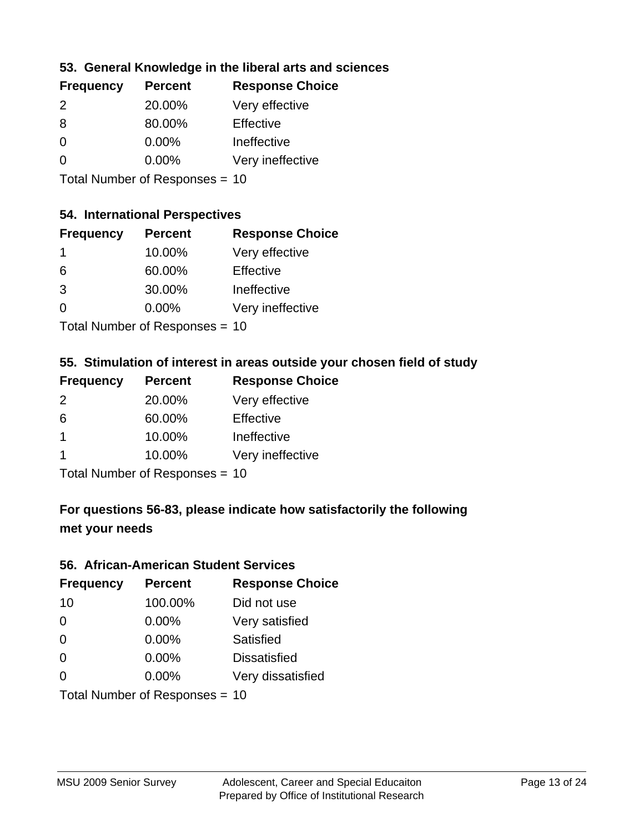### **53. General Knowledge in the liberal arts and sciences**

| <b>Frequency</b> | <b>Percent</b> | <b>Response Choice</b> |
|------------------|----------------|------------------------|
| $\mathcal{P}$    | 20.00%         | Very effective         |
| 8                | 80.00%         | Effective              |
| $\Omega$         | 0.00%          | Ineffective            |
| $\Omega$         | 0.00%          | Very ineffective       |
|                  |                |                        |

Total Number of Responses = 10

#### **54. International Perspectives**

| <b>Frequency</b> | <b>Percent</b>                         | <b>Response Choice</b> |
|------------------|----------------------------------------|------------------------|
| -1               | 10.00%                                 | Very effective         |
| 6                | 60.00%                                 | Effective              |
| 3                | 30.00%                                 | Ineffective            |
| 0                | 0.00%                                  | Very ineffective       |
|                  | $\mathbf{r}$ . The set of $\mathbf{r}$ |                        |

Total Number of Responses = 10

#### **55. Stimulation of interest in areas outside your chosen field of study**

| <b>Frequency</b>               | <b>Percent</b> | <b>Response Choice</b> |
|--------------------------------|----------------|------------------------|
| $\mathcal{P}$                  | 20.00%         | Very effective         |
| 6                              | 60.00%         | Effective              |
| $\mathbf 1$                    | 10.00%         | Ineffective            |
| 1                              | 10.00%         | Very ineffective       |
| Total Number of Responses = 10 |                |                        |

## **For questions 56-83, please indicate how satisfactorily the following met your needs**

#### **56. African-American Student Services**

| <b>Frequency</b> | <b>Percent</b>                 | <b>Response Choice</b> |
|------------------|--------------------------------|------------------------|
| 10               | 100.00%                        | Did not use            |
| $\Omega$         | 0.00%                          | Very satisfied         |
| $\Omega$         | 0.00%                          | Satisfied              |
| $\Omega$         | $0.00\%$                       | <b>Dissatisfied</b>    |
| $\Omega$         | 0.00%                          | Very dissatisfied      |
|                  | Total Number of Responses = 10 |                        |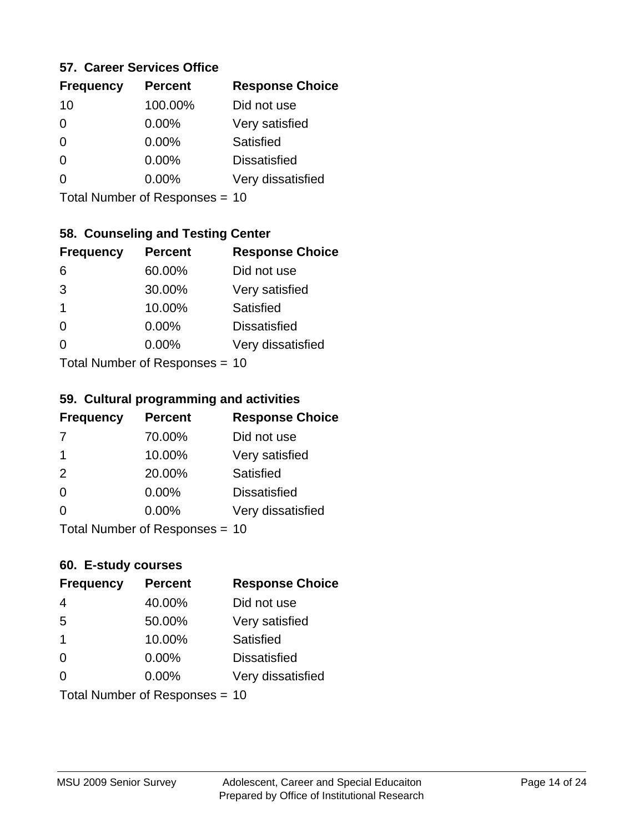#### **57. Career Services Office**

| <b>Frequency</b> | <b>Percent</b> | <b>Response Choice</b> |
|------------------|----------------|------------------------|
| 10               | 100.00%        | Did not use            |
| 0                | $0.00\%$       | Very satisfied         |
| 0                | $0.00\%$       | Satisfied              |
| O                | 0.00%          | <b>Dissatisfied</b>    |
|                  | $0.00\%$       | Very dissatisfied      |
|                  |                |                        |

Total Number of Responses = 10

## **58. Counseling and Testing Center**

| <b>Frequency</b>          | <b>Percent</b> | <b>Response Choice</b> |
|---------------------------|----------------|------------------------|
| 6                         | 60.00%         | Did not use            |
| 3                         | 30.00%         | Very satisfied         |
| 1                         | 10.00%         | <b>Satisfied</b>       |
| ∩                         | 0.00%          | <b>Dissatisfied</b>    |
| 0                         | 0.00%          | Very dissatisfied      |
| Total Number of Desponses |                |                        |

Total Number of Responses = 10

#### **59. Cultural programming and activities**

| <b>Frequency</b> | <b>Percent</b>                 | <b>Response Choice</b> |
|------------------|--------------------------------|------------------------|
| 7                | 70.00%                         | Did not use            |
| -1               | 10.00%                         | Very satisfied         |
| 2                | 20.00%                         | Satisfied              |
| $\Omega$         | $0.00\%$                       | <b>Dissatisfied</b>    |
| $\Omega$         | $0.00\%$                       | Very dissatisfied      |
|                  | Total Number of Responses = 10 |                        |

#### **60. E-study courses**

| <b>Frequency</b> | <b>Percent</b>                 | <b>Response Choice</b> |
|------------------|--------------------------------|------------------------|
| 4                | 40.00%                         | Did not use            |
| 5                | 50.00%                         | Very satisfied         |
| -1               | 10.00%                         | Satisfied              |
| $\Omega$         | 0.00%                          | <b>Dissatisfied</b>    |
| ∩                | $0.00\%$                       | Very dissatisfied      |
|                  | Total Number of Responses = 10 |                        |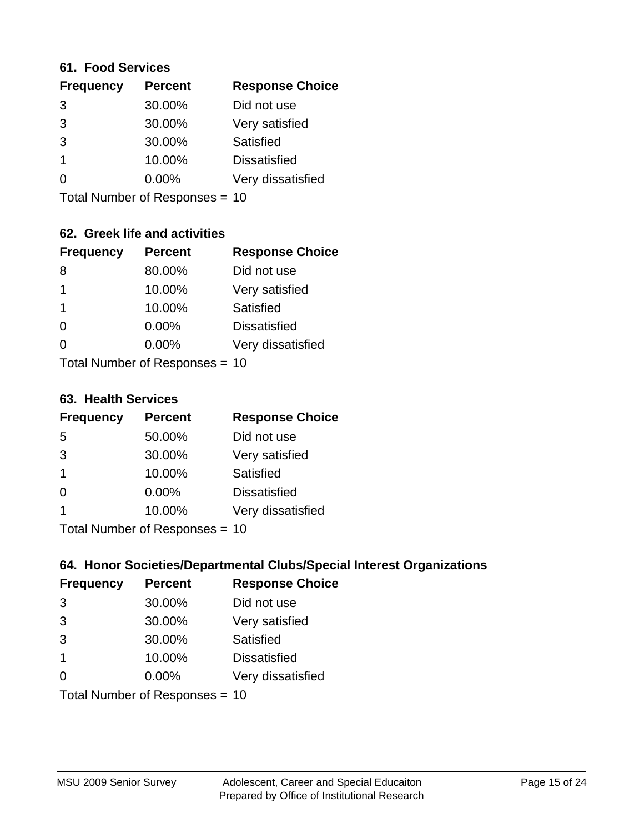#### **61. Food Services**

| <b>Frequency</b> | <b>Percent</b> | <b>Response Choice</b> |
|------------------|----------------|------------------------|
| 3                | 30.00%         | Did not use            |
| 3                | 30.00%         | Very satisfied         |
| 3                | 30.00%         | Satisfied              |
|                  | 10.00%         | <b>Dissatisfied</b>    |
| ∩                | 0.00%          | Very dissatisfied      |
|                  |                |                        |

Total Number of Responses = 10

## **62. Greek life and activities**

| <b>Frequency</b> | <b>Percent</b>                 | <b>Response Choice</b> |
|------------------|--------------------------------|------------------------|
| 8                | 80.00%                         | Did not use            |
| 1                | 10.00%                         | Very satisfied         |
| 1                | 10.00%                         | Satisfied              |
| $\Omega$         | 0.00%                          | <b>Dissatisfied</b>    |
| O                | $0.00\%$                       | Very dissatisfied      |
|                  | Total Number of Responses = 10 |                        |

**63. Health Services**

| <b>Frequency</b> | <b>Percent</b>             | <b>Response Choice</b> |
|------------------|----------------------------|------------------------|
| 5                | 50.00%                     | Did not use            |
| 3                | 30.00%                     | Very satisfied         |
| $\overline{1}$   | 10.00%                     | <b>Satisfied</b>       |
| $\Omega$         | 0.00%                      | <b>Dissatisfied</b>    |
|                  | 10.00%                     | Very dissatisfied      |
|                  | Total Number of Deepersoon |                        |

Total Number of Responses = 10

## **64. Honor Societies/Departmental Clubs/Special Interest Organizations**

| <b>Frequency</b> | <b>Percent</b>                 | <b>Response Choice</b> |
|------------------|--------------------------------|------------------------|
| 3                | 30.00%                         | Did not use            |
| 3                | 30.00%                         | Very satisfied         |
| 3                | 30.00%                         | Satisfied              |
| -1               | 10.00%                         | <b>Dissatisfied</b>    |
| $\Omega$         | 0.00%                          | Very dissatisfied      |
|                  | Total Number of Responses = 10 |                        |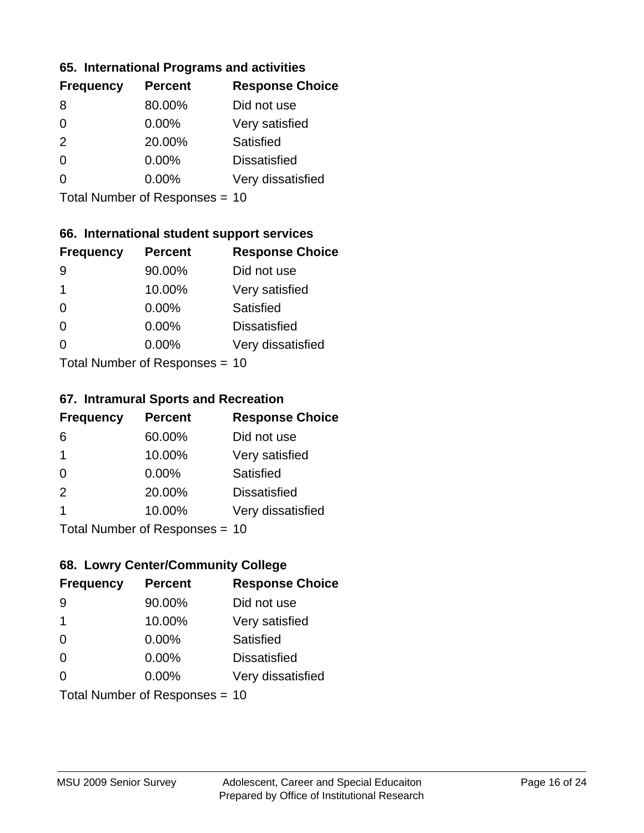#### **65. International Programs and activities**

| <b>Frequency</b> | <b>Percent</b> | <b>Response Choice</b> |
|------------------|----------------|------------------------|
| 8                | 80.00%         | Did not use            |
| 0                | $0.00\%$       | Very satisfied         |
| 2                | 20.00%         | Satisfied              |
| O                | $0.00\%$       | <b>Dissatisfied</b>    |
|                  | $0.00\%$       | Very dissatisfied      |
|                  |                |                        |

Total Number of Responses = 10

### **66. International student support services**

| <b>Frequency</b> | <b>Percent</b>            | <b>Response Choice</b> |
|------------------|---------------------------|------------------------|
| 9                | 90.00%                    | Did not use            |
| 1                | 10.00%                    | Very satisfied         |
| $\Omega$         | $0.00\%$                  | Satisfied              |
| ∩                | 0.00%                     | <b>Dissatisfied</b>    |
| 0                | 0.00%                     | Very dissatisfied      |
|                  | Total Number of Desponses |                        |

Total Number of Responses = 10

#### **67. Intramural Sports and Recreation**

| <b>Frequency</b> | <b>Percent</b>                  | <b>Response Choice</b> |
|------------------|---------------------------------|------------------------|
| 6                | 60.00%                          | Did not use            |
| $\overline{1}$   | 10.00%                          | Very satisfied         |
| $\Omega$         | $0.00\%$                        | Satisfied              |
| 2                | 20.00%                          | <b>Dissatisfied</b>    |
| 1                | 10.00%                          | Very dissatisfied      |
|                  | $Total Number of Denonose = 10$ |                        |

Total Number of Responses = 10

## **68. Lowry Center/Community College**

| <b>Frequency</b> | <b>Percent</b>                 | <b>Response Choice</b> |
|------------------|--------------------------------|------------------------|
| 9                | 90.00%                         | Did not use            |
| 1                | 10.00%                         | Very satisfied         |
| $\Omega$         | 0.00%                          | Satisfied              |
| $\Omega$         | 0.00%                          | <b>Dissatisfied</b>    |
| 0                | $0.00\%$                       | Very dissatisfied      |
|                  | Total Number of Responses = 10 |                        |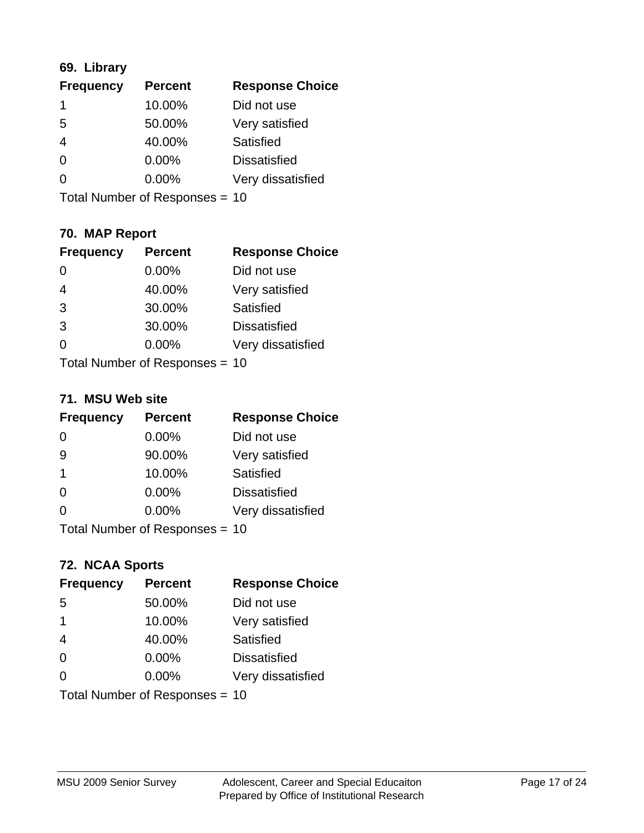## **69. Library**

| <b>Frequency</b> | <b>Percent</b> | <b>Response Choice</b> |
|------------------|----------------|------------------------|
|                  | 10.00%         | Did not use            |
| 5                | 50.00%         | Very satisfied         |
| 4                | 40.00%         | <b>Satisfied</b>       |
| 0                | 0.00%          | <b>Dissatisfied</b>    |
| O                | $0.00\%$       | Very dissatisfied      |
|                  |                |                        |

Total Number of Responses = 10

## **70. MAP Report**

| <b>Frequency</b> | <b>Percent</b>                 | <b>Response Choice</b> |
|------------------|--------------------------------|------------------------|
| 0                | 0.00%                          | Did not use            |
| $\overline{4}$   | 40.00%                         | Very satisfied         |
| 3                | 30.00%                         | Satisfied              |
| 3                | 30.00%                         | <b>Dissatisfied</b>    |
| 0                | $0.00\%$                       | Very dissatisfied      |
|                  | Total Number of Responses = 10 |                        |

#### **71. MSU Web site**

| <b>Frequency</b> | <b>Percent</b>                 | <b>Response Choice</b> |
|------------------|--------------------------------|------------------------|
| $\Omega$         | 0.00%                          | Did not use            |
| 9                | 90.00%                         | Very satisfied         |
| -1               | 10.00%                         | Satisfied              |
| $\Omega$         | 0.00%                          | <b>Dissatisfied</b>    |
| ∩                | 0.00%                          | Very dissatisfied      |
|                  | Total Number of Responses = 10 |                        |

# **72. NCAA Sports**

| <b>Frequency</b> | <b>Percent</b>                 | <b>Response Choice</b> |
|------------------|--------------------------------|------------------------|
| 5                | 50.00%                         | Did not use            |
| $\overline{1}$   | 10.00%                         | Very satisfied         |
| $\overline{4}$   | 40.00%                         | Satisfied              |
| $\Omega$         | 0.00%                          | <b>Dissatisfied</b>    |
| $\Omega$         | 0.00%                          | Very dissatisfied      |
|                  | Total Number of Responses = 10 |                        |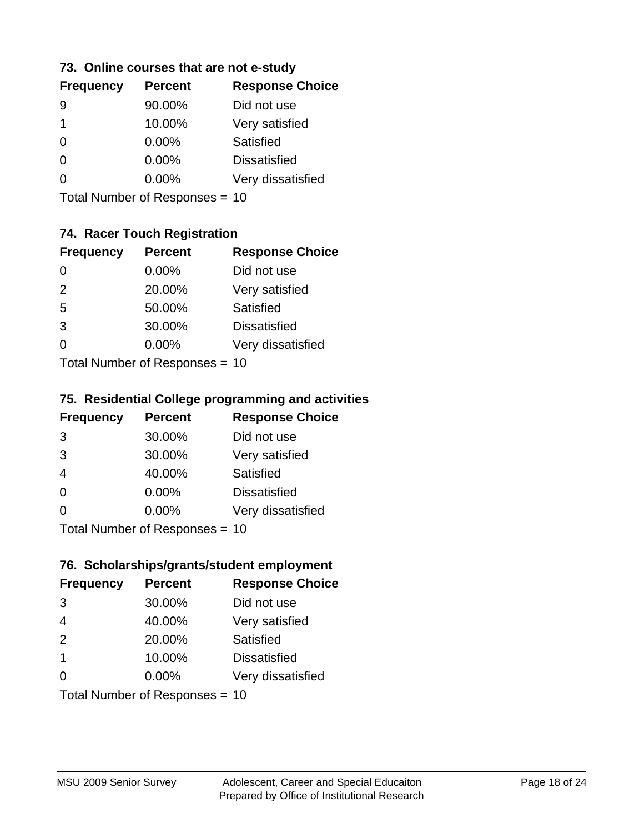### **73. Online courses that are not e-study**

Total Number of Responses = 10

## **74. Racer Touch Registration**

| <b>Frequency</b>          | <b>Percent</b> | <b>Response Choice</b> |
|---------------------------|----------------|------------------------|
| 0                         | 0.00%          | Did not use            |
| 2                         | 20.00%         | Very satisfied         |
| 5                         | 50.00%         | <b>Satisfied</b>       |
| 3                         | 30.00%         | <b>Dissatisfied</b>    |
| 0                         | $0.00\%$       | Very dissatisfied      |
| Total Number of DoEROR 0. |                |                        |

Total Number of Responses = 10

## **75. Residential College programming and activities**

| <b>Frequency</b> | <b>Percent</b>                  | <b>Response Choice</b> |
|------------------|---------------------------------|------------------------|
| 3                | 30.00%                          | Did not use            |
| 3                | 30.00%                          | Very satisfied         |
| $\overline{4}$   | 40.00%                          | Satisfied              |
| $\Omega$         | 0.00%                           | <b>Dissatisfied</b>    |
| $\Omega$         | 0.00%                           | Very dissatisfied      |
|                  | $Total$ Number of Despasses $-$ |                        |

Total Number of Responses = 10

#### **76. Scholarships/grants/student employment**

| <b>Frequency</b>               | <b>Percent</b> | <b>Response Choice</b> |
|--------------------------------|----------------|------------------------|
| 3                              | 30.00%         | Did not use            |
| $\overline{4}$                 | 40.00%         | Very satisfied         |
| 2                              | 20.00%         | Satisfied              |
| $\overline{\mathbf{1}}$        | 10.00%         | <b>Dissatisfied</b>    |
| $\Omega$                       | 0.00%          | Very dissatisfied      |
| Total Number of Responses = 10 |                |                        |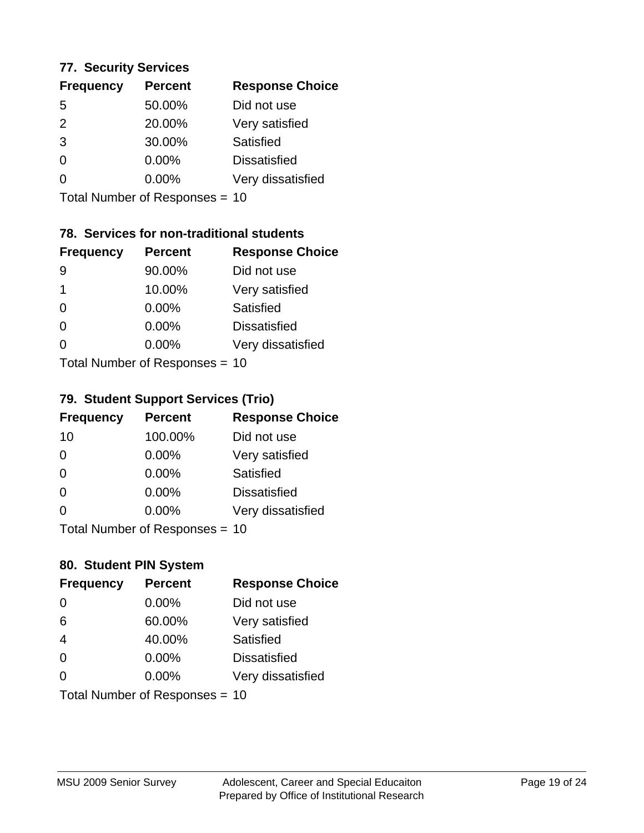#### **77. Security Services**

| <b>Frequency</b> | <b>Percent</b> | <b>Response Choice</b> |
|------------------|----------------|------------------------|
| 5                | 50.00%         | Did not use            |
| $\mathcal{P}$    | 20.00%         | Very satisfied         |
| 3                | 30.00%         | Satisfied              |
| $\Omega$         | $0.00\%$       | <b>Dissatisfied</b>    |
| ∩                | 0.00%          | Very dissatisfied      |
|                  |                |                        |

Total Number of Responses = 10

## **78. Services for non-traditional students**

| <b>Frequency</b>          | <b>Percent</b> | <b>Response Choice</b> |
|---------------------------|----------------|------------------------|
| 9                         | 90.00%         | Did not use            |
| 1                         | 10.00%         | Very satisfied         |
| $\Omega$                  | $0.00\%$       | <b>Satisfied</b>       |
| $\Omega$                  | 0.00%          | <b>Dissatisfied</b>    |
| ∩                         | 0.00%          | Very dissatisfied      |
| Total Number of Desponses |                |                        |

Total Number of Responses = 10

#### **79. Student Support Services (Trio)**

| <b>Frequency</b> | <b>Percent</b>                  | <b>Response Choice</b> |
|------------------|---------------------------------|------------------------|
| 10               | 100.00%                         | Did not use            |
| $\Omega$         | $0.00\%$                        | Very satisfied         |
| $\Omega$         | $0.00\%$                        | Satisfied              |
| $\Omega$         | $0.00\%$                        | <b>Dissatisfied</b>    |
| $\Omega$         | $0.00\%$                        | Very dissatisfied      |
|                  | $Total Number of Denonose = 10$ |                        |

Total Number of Responses = 10

#### **80. Student PIN System**

| <b>Frequency</b>               | <b>Percent</b> | <b>Response Choice</b> |
|--------------------------------|----------------|------------------------|
| $\Omega$                       | 0.00%          | Did not use            |
| 6                              | 60.00%         | Very satisfied         |
| $\overline{4}$                 | 40.00%         | Satisfied              |
| $\Omega$                       | 0.00%          | <b>Dissatisfied</b>    |
| $\Omega$                       | $0.00\%$       | Very dissatisfied      |
| Total Number of Responses = 10 |                |                        |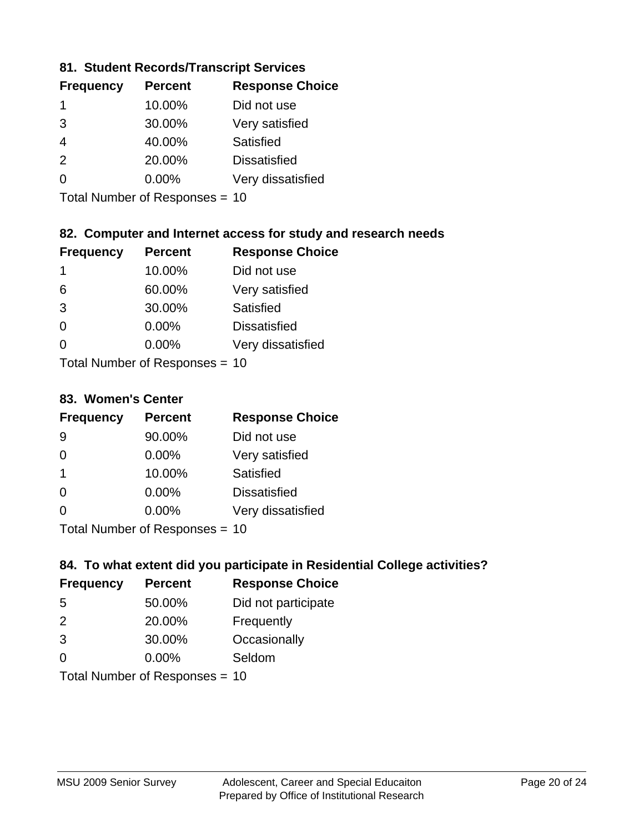### **81. Student Records/Transcript Services**

| <b>Percent</b> | <b>Response Choice</b> |
|----------------|------------------------|
| 10.00%         | Did not use            |
| 30.00%         | Very satisfied         |
| 40.00%         | Satisfied              |
| 20.00%         | <b>Dissatisfied</b>    |
| $0.00\%$       | Very dissatisfied      |
|                |                        |

Total Number of Responses = 10

## **82. Computer and Internet access for study and research needs**

| <b>Frequency</b>           | <b>Percent</b> | <b>Response Choice</b> |  |
|----------------------------|----------------|------------------------|--|
| 1                          | 10.00%         | Did not use            |  |
| 6                          | 60.00%         | Very satisfied         |  |
| 3                          | 30.00%         | Satisfied              |  |
| $\Omega$                   | 0.00%          | <b>Dissatisfied</b>    |  |
| ∩                          | 0.00%          | Very dissatisfied      |  |
| Tatal Number of Desperance |                |                        |  |

Total Number of Responses = 10

#### **83. Women's Center**

| <b>Frequency</b>          | <b>Percent</b> | <b>Response Choice</b> |
|---------------------------|----------------|------------------------|
| 9                         | 90.00%         | Did not use            |
| $\Omega$                  | 0.00%          | Very satisfied         |
| -1                        | 10.00%         | Satisfied              |
| $\Omega$                  | 0.00%          | <b>Dissatisfied</b>    |
| ∩                         | $0.00\%$       | Very dissatisfied      |
| Total Number of Deepersee |                |                        |

Total Number of Responses = 10

### **84. To what extent did you participate in Residential College activities?**

| <b>Frequency</b>                 | <b>Percent</b> | <b>Response Choice</b> |
|----------------------------------|----------------|------------------------|
| -5                               | 50.00%         | Did not participate    |
| $\mathcal{P}$                    | 20.00%         | Frequently             |
| 3                                | 30.00%         | Occasionally           |
| 0                                | 0.00%          | Seldom                 |
| $Total Number of Doepopose = 10$ |                |                        |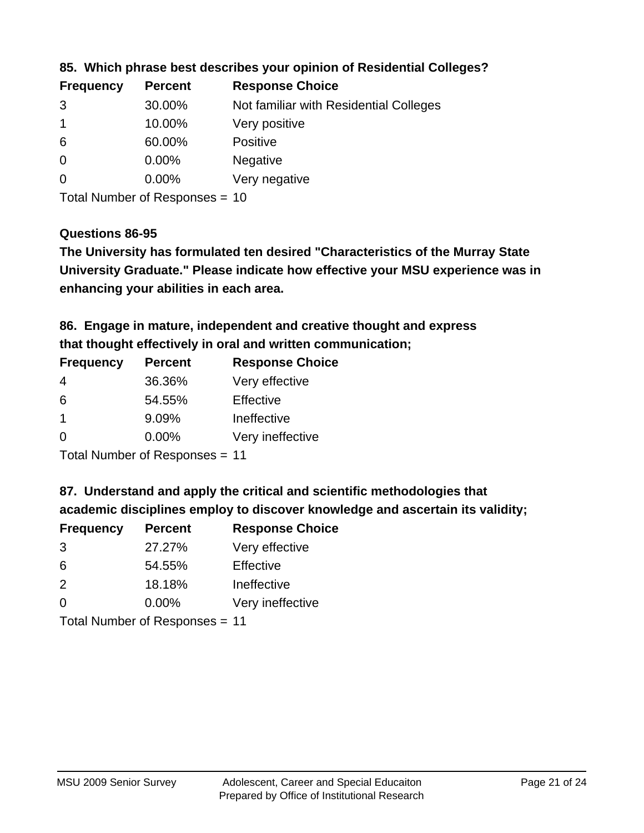| <b>Frequency</b> | <b>Percent</b> | <b>Response Choice</b>                 |
|------------------|----------------|----------------------------------------|
| 3                | 30.00%         | Not familiar with Residential Colleges |
|                  | 10.00%         | Very positive                          |
| -6               | 60.00%         | <b>Positive</b>                        |
| $\overline{0}$   | 0.00%          | <b>Negative</b>                        |
| -0               | $0.00\%$       | Very negative                          |
|                  |                |                                        |

**85. Which phrase best describes your opinion of Residential Colleges?**

Total Number of Responses = 10

#### **Questions 86-95**

**University Graduate." Please indicate how effective your MSU experience was in The University has formulated ten desired "Characteristics of the Murray State enhancing your abilities in each area.**

**86. Engage in mature, independent and creative thought and express that thought effectively in oral and written communication;**

| <b>Frequency</b> | <b>Percent</b> | <b>Response Choice</b> |
|------------------|----------------|------------------------|
| 4                | 36.36%         | Very effective         |
| 6                | 54.55%         | Effective              |
|                  | 9.09%          | Ineffective            |
| $\Omega$         | $0.00\%$       | Very ineffective       |

Total Number of Responses = 11

**87. Understand and apply the critical and scientific methodologies that** 

**academic disciplines employ to discover knowledge and ascertain its validity;**

| <b>Frequency</b> | <b>Percent</b> | <b>Response Choice</b> |
|------------------|----------------|------------------------|
| 3                | 27.27%         | Very effective         |
| 6                | 54.55%         | Effective              |
| $\mathcal{P}$    | 18.18%         | Ineffective            |
| $\Omega$         | 0.00%          | Very ineffective       |
|                  |                |                        |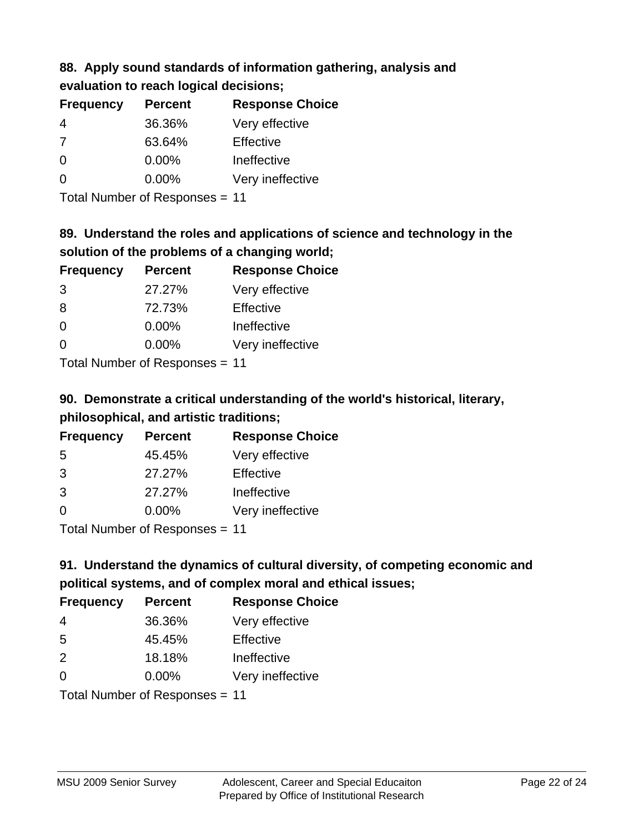# **88. Apply sound standards of information gathering, analysis and evaluation to reach logical decisions;**

| <b>Percent</b> | <b>Response Choice</b> |
|----------------|------------------------|
| 36.36%         | Very effective         |
| 63.64%         | Effective              |
| $0.00\%$       | Ineffective            |
| $0.00\%$       | Very ineffective       |
|                |                        |

Total Number of Responses = 11

# **89. Understand the roles and applications of science and technology in the solution of the problems of a changing world;**

| <b>Frequency</b>            | <b>Percent</b> | <b>Response Choice</b> |
|-----------------------------|----------------|------------------------|
| 3                           | 27.27%         | Very effective         |
| 8                           | 72.73%         | Effective              |
| $\Omega$                    | 0.00%          | Ineffective            |
| $\Omega$                    | 0.00%          | Very ineffective       |
| Tatal Massakan af Dagmannar |                |                        |

Total Number of Responses = 11

# **90. Demonstrate a critical understanding of the world's historical, literary, philosophical, and artistic traditions;**

| <b>Frequency</b> | <b>Percent</b> | <b>Response Choice</b> |
|------------------|----------------|------------------------|
| 5                | 45.45%         | Very effective         |
| 3                | 27.27%         | Effective              |
| 3                | 27.27%         | Ineffective            |
| $\Omega$         | 0.00%          | Very ineffective       |
|                  |                |                        |

Total Number of Responses = 11

# **91. Understand the dynamics of cultural diversity, of competing economic and political systems, and of complex moral and ethical issues;**

| <b>Frequency</b> | <b>Percent</b>                 | <b>Response Choice</b> |
|------------------|--------------------------------|------------------------|
| 4                | 36.36%                         | Very effective         |
| 5                | 45.45%                         | Effective              |
| 2                | 18.18%                         | Ineffective            |
| $\Omega$         | $0.00\%$                       | Very ineffective       |
|                  | Total Number of Responses = 11 |                        |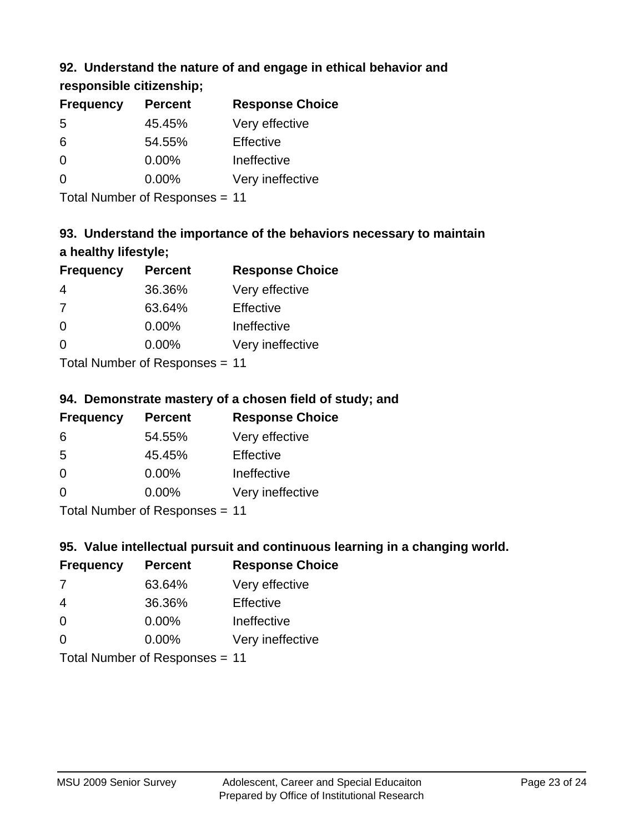## **92. Understand the nature of and engage in ethical behavior and**

**responsible citizenship;**

| <b>Frequency</b> | <b>Percent</b> | <b>Response Choice</b> |
|------------------|----------------|------------------------|
| -5               | 45.45%         | Very effective         |
| 6                | 54.55%         | Effective              |
| 0                | $0.00\%$       | Ineffective            |
| ∩                | $0.00\%$       | Very ineffective       |

Total Number of Responses = 11

# **93. Understand the importance of the behaviors necessary to maintain a healthy lifestyle;**

| <b>Frequency</b>               | <b>Percent</b> | <b>Response Choice</b> |
|--------------------------------|----------------|------------------------|
| 4                              | 36.36%         | Very effective         |
| 7                              | 63.64%         | Effective              |
| $\Omega$                       | $0.00\%$       | Ineffective            |
| $\Omega$                       | 0.00%          | Very ineffective       |
| Tatal Manufacture Construction |                |                        |

Total Number of Responses = 11

## **94. Demonstrate mastery of a chosen field of study; and**

| <b>Frequency</b> | <b>Percent</b> | <b>Response Choice</b> |
|------------------|----------------|------------------------|
| 6                | 54.55%         | Very effective         |
| 5                | 45.45%         | Effective              |
| $\Omega$         | 0.00%          | Ineffective            |
| $\Omega$         | 0.00%          | Very ineffective       |
|                  |                |                        |

Total Number of Responses = 11

## **95. Value intellectual pursuit and continuous learning in a changing world.**

| <b>Frequency</b>          | <b>Percent</b> | <b>Response Choice</b> |
|---------------------------|----------------|------------------------|
| -7                        | 63.64%         | Very effective         |
| 4                         | 36.36%         | Effective              |
| $\Omega$                  | $0.00\%$       | Ineffective            |
| $\Omega$                  | 0.00%          | Very ineffective       |
| Total Number of Deepensee |                |                        |